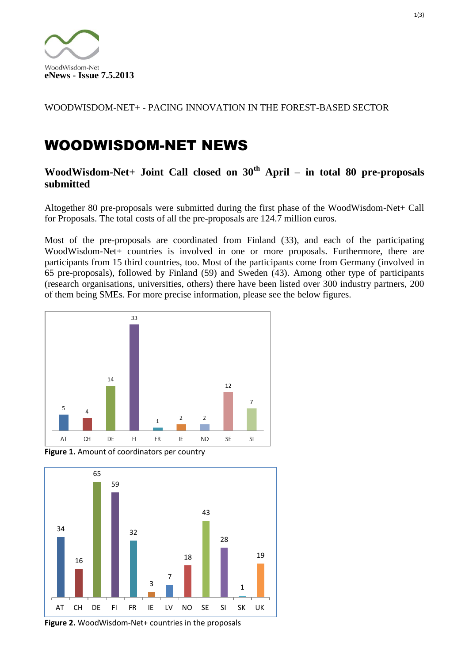

WOODWISDOM-NET+ - PACING INNOVATION IN THE FOREST-BASED SECTOR

## WOODWISDOM-NET NEWS

## **WoodWisdom-Net+ Joint Call closed on 30th April – in total 80 pre-proposals submitted**

Altogether 80 pre-proposals were submitted during the first phase of the WoodWisdom-Net+ Call for Proposals. The total costs of all the pre-proposals are 124.7 million euros.

Most of the pre-proposals are coordinated from Finland (33), and each of the participating WoodWisdom-Net+ countries is involved in one or more proposals. Furthermore, there are participants from 15 third countries, too. Most of the participants come from Germany (involved in 65 pre-proposals), followed by Finland (59) and Sweden (43). Among other type of participants (research organisations, universities, others) there have been listed over 300 industry partners, 200 of them being SMEs. For more precise information, please see the below figures.



**Figure 1.** Amount of coordinators per country



**Figure 2.** WoodWisdom-Net+ countries in the proposals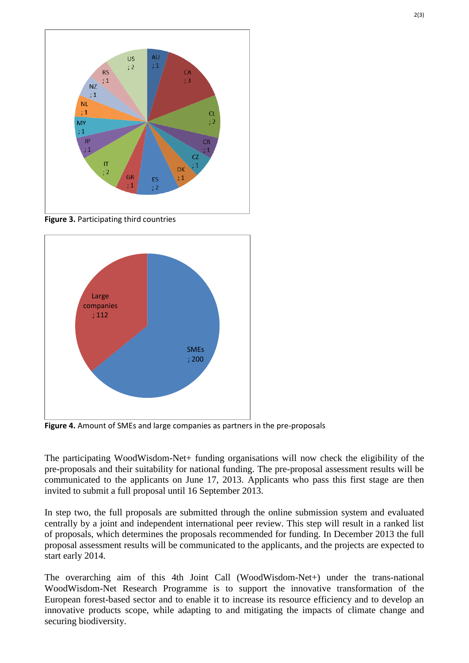

**Figure 3.** Participating third countries



**Figure 4.** Amount of SMEs and large companies as partners in the pre-proposals

The participating WoodWisdom-Net+ funding organisations will now check the eligibility of the pre-proposals and their suitability for national funding. The pre-proposal assessment results will be communicated to the applicants on June 17, 2013. Applicants who pass this first stage are then invited to submit a full proposal until 16 September 2013.

In step two, the full proposals are submitted through the online submission system and evaluated centrally by a joint and independent international peer review. This step will result in a ranked list of proposals, which determines the proposals recommended for funding. In December 2013 the full proposal assessment results will be communicated to the applicants, and the projects are expected to start early 2014.

The overarching aim of this 4th Joint Call (WoodWisdom-Net+) under the trans-national WoodWisdom-Net Research Programme is to support the innovative transformation of the European forest-based sector and to enable it to increase its resource efficiency and to develop an innovative products scope, while adapting to and mitigating the impacts of climate change and securing biodiversity.